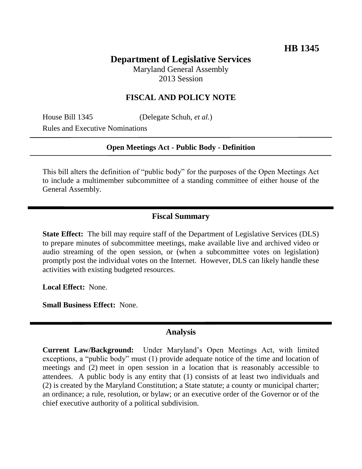# **Department of Legislative Services**

Maryland General Assembly 2013 Session

## **FISCAL AND POLICY NOTE**

House Bill 1345 (Delegate Schuh, *et al.*) Rules and Executive Nominations

#### **Open Meetings Act - Public Body - Definition**

This bill alters the definition of "public body" for the purposes of the Open Meetings Act to include a multimember subcommittee of a standing committee of either house of the General Assembly.

## **Fiscal Summary**

**State Effect:** The bill may require staff of the Department of Legislative Services (DLS) to prepare minutes of subcommittee meetings, make available live and archived video or audio streaming of the open session, or (when a subcommittee votes on legislation) promptly post the individual votes on the Internet. However, DLS can likely handle these activities with existing budgeted resources.

**Local Effect:** None.

**Small Business Effect:** None.

#### **Analysis**

**Current Law/Background:** Under Maryland's Open Meetings Act, with limited exceptions, a "public body" must (1) provide adequate notice of the time and location of meetings and (2) meet in open session in a location that is reasonably accessible to attendees. A public body is any entity that (1) consists of at least two individuals and (2) is created by the Maryland Constitution; a State statute; a county or municipal charter; an ordinance; a rule, resolution, or bylaw; or an executive order of the Governor or of the chief executive authority of a political subdivision.